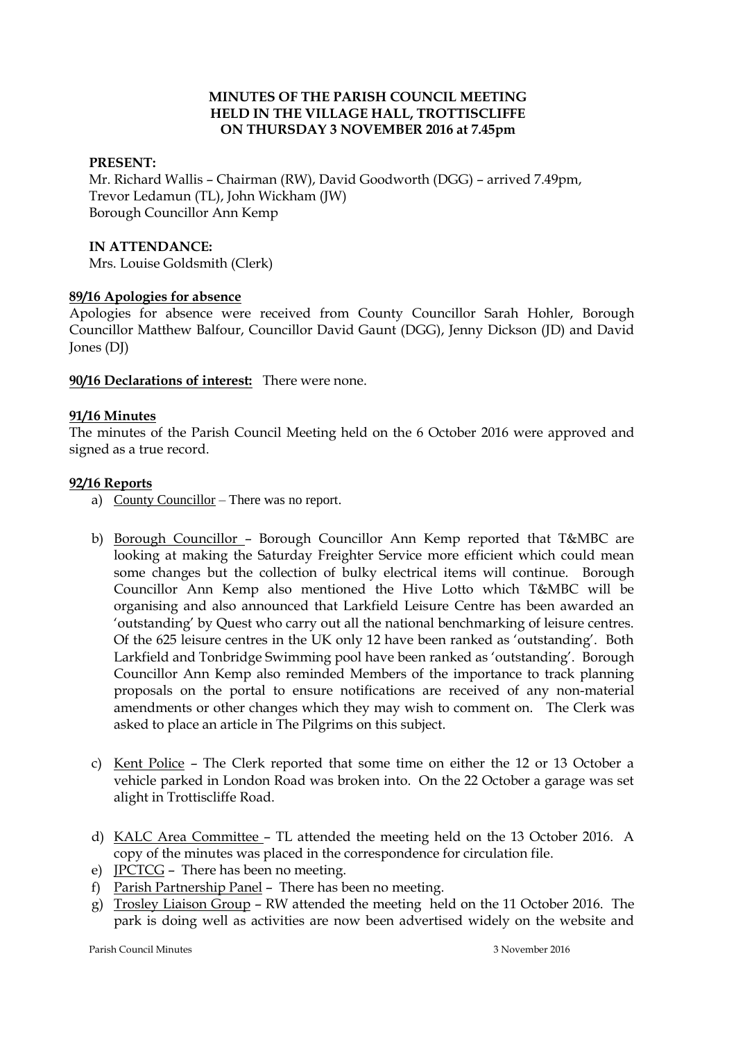## **MINUTES OF THE PARISH COUNCIL MEETING HELD IN THE VILLAGE HALL, TROTTISCLIFFE ON THURSDAY 3 NOVEMBER 2016 at 7.45pm**

## **PRESENT:**

Mr. Richard Wallis – Chairman (RW), David Goodworth (DGG) – arrived 7.49pm, Trevor Ledamun (TL), John Wickham (JW) Borough Councillor Ann Kemp

#### **IN ATTENDANCE:**

Mrs. Louise Goldsmith (Clerk)

## **89/16 Apologies for absence**

Apologies for absence were received from County Councillor Sarah Hohler, Borough Councillor Matthew Balfour, Councillor David Gaunt (DGG), Jenny Dickson (JD) and David Jones (DJ)

**90/16 Declarations of interest:** There were none.

## **91/16 Minutes**

The minutes of the Parish Council Meeting held on the 6 October 2016 were approved and signed as a true record.

## **92/16 Reports**

- a) County Councillor There was no report.
- b) Borough Councillor Borough Councillor Ann Kemp reported that T&MBC are looking at making the Saturday Freighter Service more efficient which could mean some changes but the collection of bulky electrical items will continue. Borough Councillor Ann Kemp also mentioned the Hive Lotto which T&MBC will be organising and also announced that Larkfield Leisure Centre has been awarded an 'outstanding' by Quest who carry out all the national benchmarking of leisure centres. Of the 625 leisure centres in the UK only 12 have been ranked as 'outstanding'. Both Larkfield and Tonbridge Swimming pool have been ranked as 'outstanding'. Borough Councillor Ann Kemp also reminded Members of the importance to track planning proposals on the portal to ensure notifications are received of any non-material amendments or other changes which they may wish to comment on. The Clerk was asked to place an article in The Pilgrims on this subject.
- c) Kent Police The Clerk reported that some time on either the 12 or 13 October a vehicle parked in London Road was broken into. On the 22 October a garage was set alight in Trottiscliffe Road.
- d) KALC Area Committee TL attended the meeting held on the 13 October 2016. A copy of the minutes was placed in the correspondence for circulation file.
- e) JPCTCG There has been no meeting.
- f) Parish Partnership Panel There has been no meeting.
- g) Trosley Liaison Group RW attended the meeting held on the 11 October 2016. The park is doing well as activities are now been advertised widely on the website and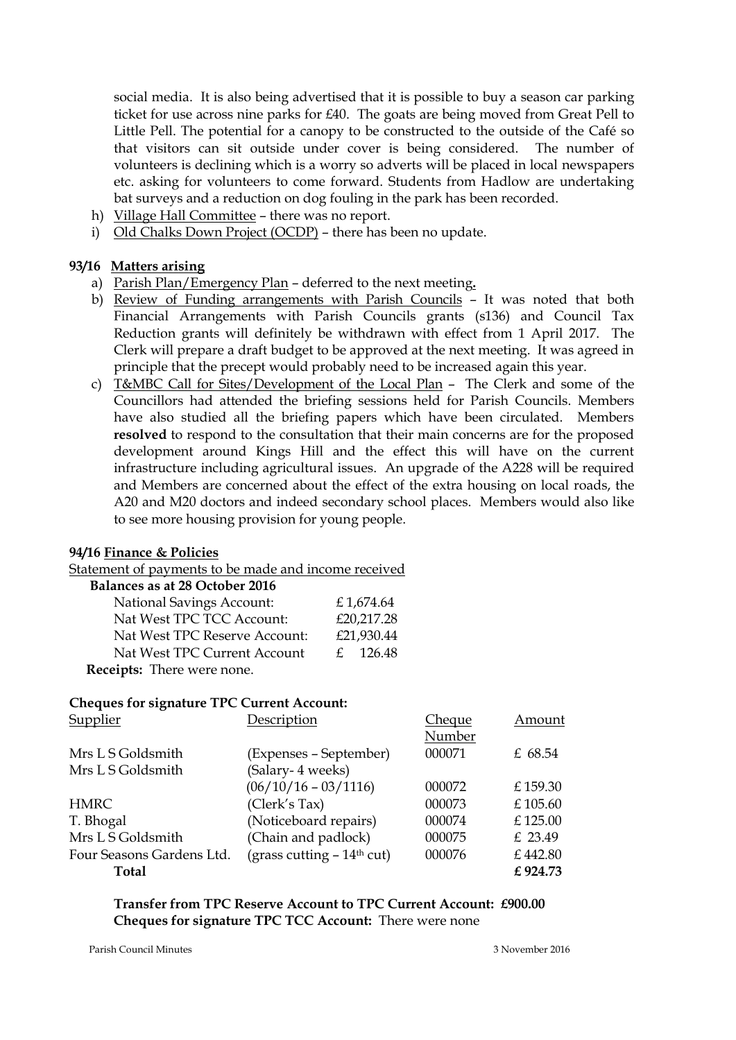social media. It is also being advertised that it is possible to buy a season car parking ticket for use across nine parks for £40. The goats are being moved from Great Pell to Little Pell. The potential for a canopy to be constructed to the outside of the Café so that visitors can sit outside under cover is being considered. The number of volunteers is declining which is a worry so adverts will be placed in local newspapers etc. asking for volunteers to come forward. Students from Hadlow are undertaking bat surveys and a reduction on dog fouling in the park has been recorded.

- h) Village Hall Committee there was no report.
- i) Old Chalks Down Project (OCDP) there has been no update.

## **93/16 Matters arising**

- a) Parish Plan/Emergency Plan deferred to the next meeting**.**
- b) Review of Funding arrangements with Parish Councils It was noted that both Financial Arrangements with Parish Councils grants (s136) and Council Tax Reduction grants will definitely be withdrawn with effect from 1 April 2017. The Clerk will prepare a draft budget to be approved at the next meeting. It was agreed in principle that the precept would probably need to be increased again this year.
- c) T&MBC Call for Sites/Development of the Local Plan The Clerk and some of the Councillors had attended the briefing sessions held for Parish Councils. Members have also studied all the briefing papers which have been circulated. Members **resolved** to respond to the consultation that their main concerns are for the proposed development around Kings Hill and the effect this will have on the current infrastructure including agricultural issues. An upgrade of the A228 will be required and Members are concerned about the effect of the extra housing on local roads, the A20 and M20 doctors and indeed secondary school places. Members would also like to see more housing provision for young people.

#### **94/16 Finance & Policies**

Statement of payments to be made and income received

| Balances as at 28 October 2016   |            |
|----------------------------------|------------|
| <b>National Savings Account:</b> | £1,674.64  |
| Nat West TPC TCC Account:        | £20,217.28 |
| Nat West TPC Reserve Account:    | £21,930.44 |
| Nat West TPC Current Account     | f. 126.48  |
| Receipts: There were none.       |            |

#### **Cheques for signature TPC Current Account:**

| Supplier                  | Description                            | <b>Cheque</b> | Amount   |
|---------------------------|----------------------------------------|---------------|----------|
|                           |                                        | Number        |          |
| Mrs L S Goldsmith         | (Expenses – September)                 | 000071        | £ 68.54  |
| Mrs L S Goldsmith         | (Salary- 4 weeks)                      |               |          |
|                           | $(06/10/16 - 03/1116)$                 | 000072        | £159.30  |
| <b>HMRC</b>               | (Clerk's Tax)                          | 000073        | £105.60  |
| T. Bhogal                 | (Noticeboard repairs)                  | 000074        | £125.00  |
| Mrs L S Goldsmith         | (Chain and padlock)                    | 000075        | £ 23.49  |
| Four Seasons Gardens Ltd. | (grass cutting - 14 <sup>th</sup> cut) | 000076        | £442.80  |
| Total                     |                                        |               | £ 924.73 |

**Transfer from TPC Reserve Account to TPC Current Account: £900.00 Cheques for signature TPC TCC Account:** There were none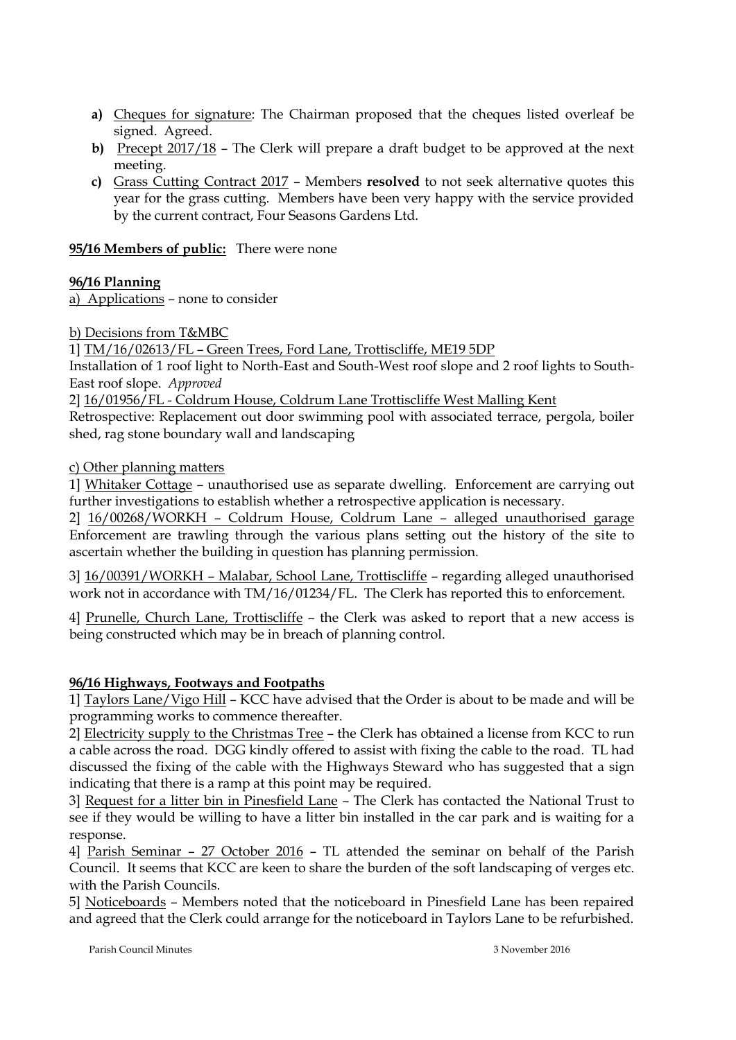- **a)** Cheques for signature: The Chairman proposed that the cheques listed overleaf be signed. Agreed.
- **b)** Precept 2017/18 The Clerk will prepare a draft budget to be approved at the next meeting.
- **c)** Grass Cutting Contract 2017 Members **resolved** to not seek alternative quotes this year for the grass cutting. Members have been very happy with the service provided by the current contract, Four Seasons Gardens Ltd.

# **95/16 Members of public:** There were none

# **96/16 Planning**

a) Applications – none to consider

b) Decisions from T&MBC

1] TM/16/02613/FL – Green Trees, Ford Lane, Trottiscliffe, ME19 5DP

Installation of 1 roof light to North-East and South-West roof slope and 2 roof lights to South-East roof slope. *Approved*

2] 16/01956/FL - Coldrum House, Coldrum Lane Trottiscliffe West Malling Kent

Retrospective: Replacement out door swimming pool with associated terrace, pergola, boiler shed, rag stone boundary wall and landscaping

## c) Other planning matters

1] Whitaker Cottage – unauthorised use as separate dwelling. Enforcement are carrying out further investigations to establish whether a retrospective application is necessary.

2] 16/00268/WORKH – Coldrum House, Coldrum Lane – alleged unauthorised garage Enforcement are trawling through the various plans setting out the history of the site to ascertain whether the building in question has planning permission.

3] 16/00391/WORKH – Malabar, School Lane, Trottiscliffe – regarding alleged unauthorised work not in accordance with TM/16/01234/FL. The Clerk has reported this to enforcement.

4] Prunelle, Church Lane, Trottiscliffe – the Clerk was asked to report that a new access is being constructed which may be in breach of planning control.

# **96/16 Highways, Footways and Footpaths**

1] Taylors Lane/Vigo Hill – KCC have advised that the Order is about to be made and will be programming works to commence thereafter.

2] Electricity supply to the Christmas Tree – the Clerk has obtained a license from KCC to run a cable across the road. DGG kindly offered to assist with fixing the cable to the road. TL had discussed the fixing of the cable with the Highways Steward who has suggested that a sign indicating that there is a ramp at this point may be required.

3] Request for a litter bin in Pinesfield Lane – The Clerk has contacted the National Trust to see if they would be willing to have a litter bin installed in the car park and is waiting for a response.

4] Parish Seminar – 27 October 2016 – TL attended the seminar on behalf of the Parish Council. It seems that KCC are keen to share the burden of the soft landscaping of verges etc. with the Parish Councils.

5] Noticeboards – Members noted that the noticeboard in Pinesfield Lane has been repaired and agreed that the Clerk could arrange for the noticeboard in Taylors Lane to be refurbished.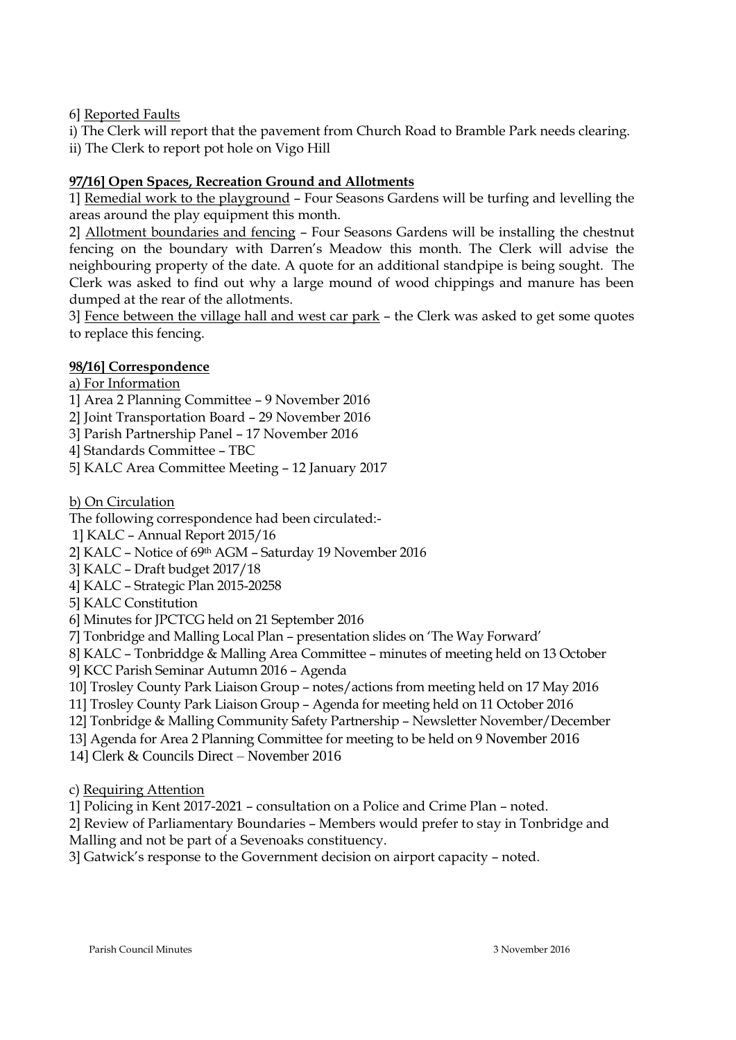6] Reported Faults

i) The Clerk will report that the pavement from Church Road to Bramble Park needs clearing. ii) The Clerk to report pot hole on Vigo Hill

# **97/16] Open Spaces, Recreation Ground and Allotments**

1] Remedial work to the playground – Four Seasons Gardens will be turfing and levelling the areas around the play equipment this month.

2] Allotment boundaries and fencing – Four Seasons Gardens will be installing the chestnut fencing on the boundary with Darren's Meadow this month. The Clerk will advise the neighbouring property of the date. A quote for an additional standpipe is being sought. The Clerk was asked to find out why a large mound of wood chippings and manure has been dumped at the rear of the allotments.

3] Fence between the village hall and west car park – the Clerk was asked to get some quotes to replace this fencing.

## **98/16] Correspondence**

a) For Information

1] Area 2 Planning Committee – 9 November 2016

- 2] Joint Transportation Board 29 November 2016
- 3] Parish Partnership Panel 17 November 2016
- 4] Standards Committee TBC
- 5] KALC Area Committee Meeting 12 January 2017

b) On Circulation

The following correspondence had been circulated:-

1] KALC – Annual Report 2015/16

2] KALC – Notice of 69th AGM – Saturday 19 November 2016

- 3] KALC Draft budget 2017/18
- 4] KALC Strategic Plan 2015-20258
- 5] KALC Constitution

6] Minutes for JPCTCG held on 21 September 2016

7] Tonbridge and Malling Local Plan – presentation slides on 'The Way Forward'

8] KALC – Tonbriddge & Malling Area Committee – minutes of meeting held on 13 October

9] KCC Parish Seminar Autumn 2016 – Agenda

10] Trosley County Park Liaison Group – notes/actions from meeting held on 17 May 2016

11] Trosley County Park Liaison Group – Agenda for meeting held on 11 October 2016

12] Tonbridge & Malling Community Safety Partnership – Newsletter November/December

13] Agenda for Area 2 Planning Committee for meeting to be held on 9 November 2016

14] Clerk & Councils Direct – November 2016

c) Requiring Attention

1] Policing in Kent 2017-2021 – consultation on a Police and Crime Plan – noted.

2] Review of Parliamentary Boundaries – Members would prefer to stay in Tonbridge and

Malling and not be part of a Sevenoaks constituency.

3] Gatwick's response to the Government decision on airport capacity – noted.